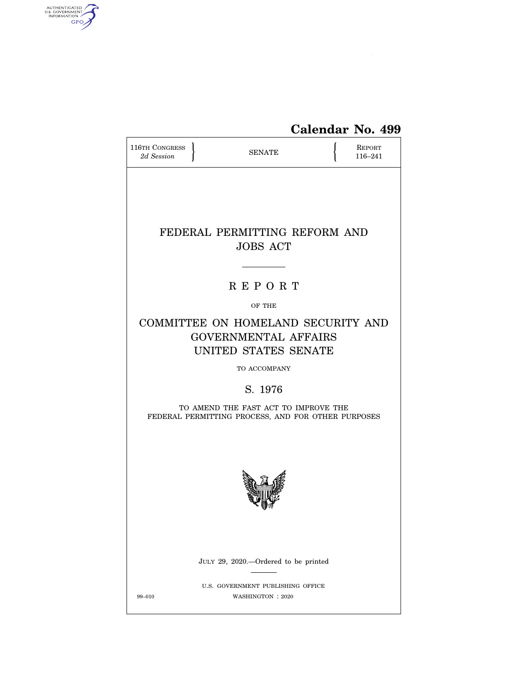

# **Calendar No. 499**

| <b>116TH CONGRESS</b><br>2d Session                                                        | <b>SENATE</b>                                                                                             |  |  |  |  |  |  |
|--------------------------------------------------------------------------------------------|-----------------------------------------------------------------------------------------------------------|--|--|--|--|--|--|
| FEDERAL PERMITTING REFORM AND<br><b>JOBS ACT</b>                                           |                                                                                                           |  |  |  |  |  |  |
|                                                                                            | <b>REPORT</b>                                                                                             |  |  |  |  |  |  |
|                                                                                            | OF THE                                                                                                    |  |  |  |  |  |  |
|                                                                                            | COMMITTEE ON HOMELAND SECURITY AND<br><b>GOVERNMENTAL AFFAIRS</b><br>UNITED STATES SENATE<br>TO ACCOMPANY |  |  |  |  |  |  |
|                                                                                            | S. 1976                                                                                                   |  |  |  |  |  |  |
| TO AMEND THE FAST ACT TO IMPROVE THE<br>FEDERAL PERMITTING PROCESS, AND FOR OTHER PURPOSES |                                                                                                           |  |  |  |  |  |  |
|                                                                                            |                                                                                                           |  |  |  |  |  |  |
|                                                                                            | JULY 29, 2020.—Ordered to be printed                                                                      |  |  |  |  |  |  |
| 99-010                                                                                     | U.S. GOVERNMENT PUBLISHING OFFICE<br>WASHINGTON : 2020                                                    |  |  |  |  |  |  |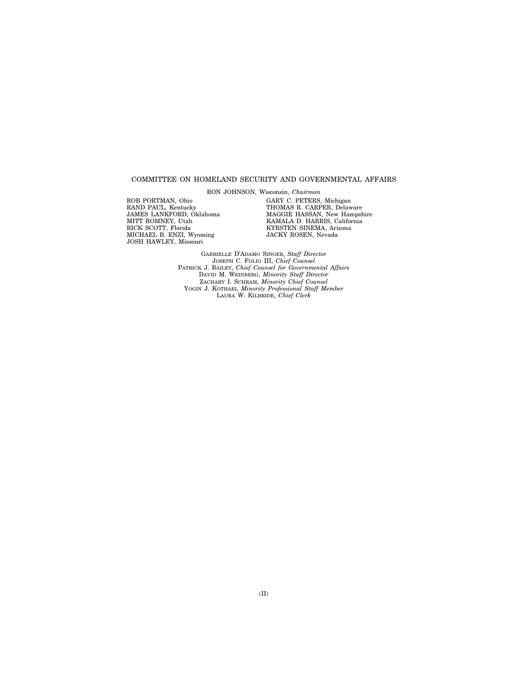#### COMMITTEE ON HOMELAND SECURITY AND GOVERNMENTAL AFFAIRS

RON JOHNSON, Wisconsin, *Chairman* 

ROB PORTMAN, Ohio RAND PAUL, Kentucky JAMES LANKFORD, Oklahoma MITT ROMNEY, Utah RICK SCOTT, Florida MICHAEL B. ENZI, Wyoming JOSH HAWLEY, Missouri

GARY C. PETERS, Michigan THOMAS R. CARPER, Delaware MAGGIE HASSAN, New Hampshire KAMALA D. HARRIS, California KYRSTEN SINEMA, Arizona JACKY ROSEN, Nevada

GABRIELLE D'ADAMO SINGER, *Staff Director*  JOSEPH C. FOLIO III, *Chief Counsel*  PATRICK J. BAILEY, *Chief Counsel for Governmental Affairs*  DAVID M. WEINBERG, *Minority Staff Director*  ZACHARY I. SCHRAM, *Minority Chief Counsel*  YOGIN J. KOTHARI, *Minority Professional Staff Member*  LAURA W. KILBRIDE, *Chief Clerk*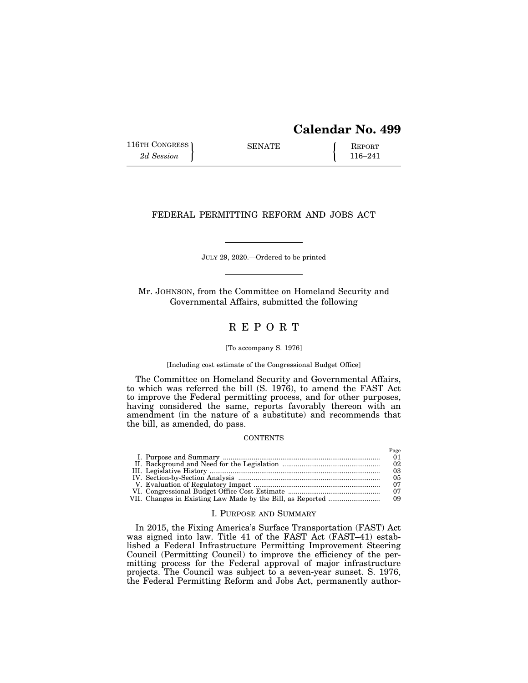# **Calendar No. 499**

116TH CONGRESS SENATE <br>
2d Session **REPORT** 116–241

 $P_{\alpha\alpha\alpha}$ 

# FEDERAL PERMITTING REFORM AND JOBS ACT

JULY 29, 2020.—Ordered to be printed

Mr. JOHNSON, from the Committee on Homeland Security and Governmental Affairs, submitted the following

# R E P O R T

#### [To accompany S. 1976]

#### [Including cost estimate of the Congressional Budget Office]

The Committee on Homeland Security and Governmental Affairs, to which was referred the bill (S. 1976), to amend the FAST Act to improve the Federal permitting process, and for other purposes, having considered the same, reports favorably thereon with an amendment (in the nature of a substitute) and recommends that the bill, as amended, do pass.

#### **CONTENTS**

|  | 1 acc |
|--|-------|
|  |       |
|  | 02    |
|  | 03    |
|  | 05    |
|  | 07    |
|  |       |
|  |       |

#### I. PURPOSE AND SUMMARY

In 2015, the Fixing America's Surface Transportation (FAST) Act was signed into law. Title 41 of the FAST Act (FAST–41) established a Federal Infrastructure Permitting Improvement Steering Council (Permitting Council) to improve the efficiency of the permitting process for the Federal approval of major infrastructure projects. The Council was subject to a seven-year sunset. S. 1976, the Federal Permitting Reform and Jobs Act, permanently author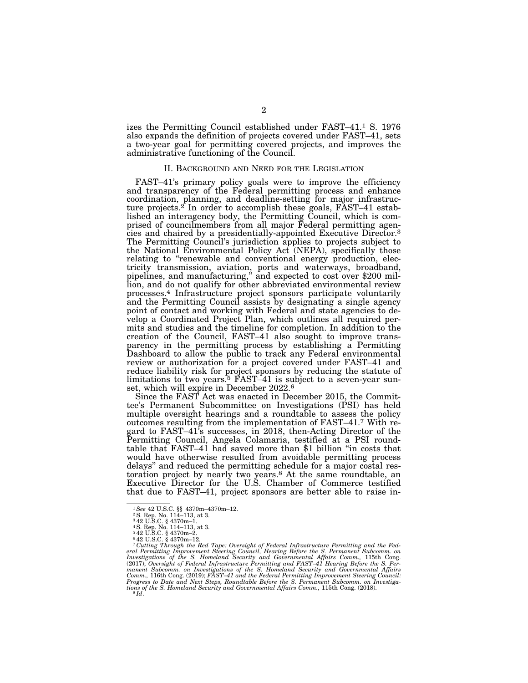izes the Permitting Council established under FAST–41.1 S. 1976 also expands the definition of projects covered under FAST–41, sets a two-year goal for permitting covered projects, and improves the administrative functioning of the Council.

#### II. BACKGROUND AND NEED FOR THE LEGISLATION

FAST–41's primary policy goals were to improve the efficiency and transparency of the Federal permitting process and enhance coordination, planning, and deadline-setting for major infrastructure projects.<sup>2</sup> In order to accomplish these goals, FAST-41 established an interagency body, the Permitting Council, which is comprised of councilmembers from all major Federal permitting agencies and chaired by a presidentially-appointed Executive Director.3 The Permitting Council's jurisdiction applies to projects subject to the National Environmental Policy Act (NEPA), specifically those relating to "renewable and conventional energy production, electricity transmission, aviation, ports and waterways, broadband, pipelines, and manufacturing,'' and expected to cost over \$200 million, and do not qualify for other abbreviated environmental review processes.4 Infrastructure project sponsors participate voluntarily and the Permitting Council assists by designating a single agency point of contact and working with Federal and state agencies to develop a Coordinated Project Plan, which outlines all required permits and studies and the timeline for completion. In addition to the creation of the Council, FAST–41 also sought to improve transparency in the permitting process by establishing a Permitting Dashboard to allow the public to track any Federal environmental review or authorization for a project covered under FAST–41 and reduce liability risk for project sponsors by reducing the statute of limitations to two years.<sup>5</sup> FAST-41 is subject to a seven-year sunset, which will expire in December 2022.6

Since the FAST Act was enacted in December 2015, the Committee's Permanent Subcommittee on Investigations (PSI) has held multiple oversight hearings and a roundtable to assess the policy outcomes resulting from the implementation of FAST–41.7 With regard to FAST–41's successes, in 2018, then-Acting Director of the Permitting Council, Angela Colamaria, testified at a PSI roundtable that FAST–41 had saved more than \$1 billion ''in costs that would have otherwise resulted from avoidable permitting process delays'' and reduced the permitting schedule for a major costal restoration project by nearly two years.8 At the same roundtable, an Executive Director for the U.S. Chamber of Commerce testified that due to FAST–41, project sponsors are better able to raise in-

<sup>1</sup>*See* 42 U.S.C. §§ 4370m–4370m–12. 2S. Rep. No. 114–113, at 3. 3 42 U.S.C. § 4370m–1.

<sup>4</sup>S. Rep. No. 114–113, at 3. 5 42 U.S.C. § 4370m–2. 6 42 U.S.C. § 4370m–12.

<sup>&</sup>lt;sup>7</sup> Cutting Through the Red Tape: Oversight of Federal Infrastructure Permitting and the Federal Permitting Improvement Steering Council, Hearing Before the S. Permanent Subcomm. on Investigations of the S. Homeland Secur *Progress to Date and Next Steps, Roundtable Before the S. Permanent Subcomm. on Investiga-tions of the S. Homeland Security and Governmental Affairs Comm.,* 115th Cong. (2018). 8 *Id*.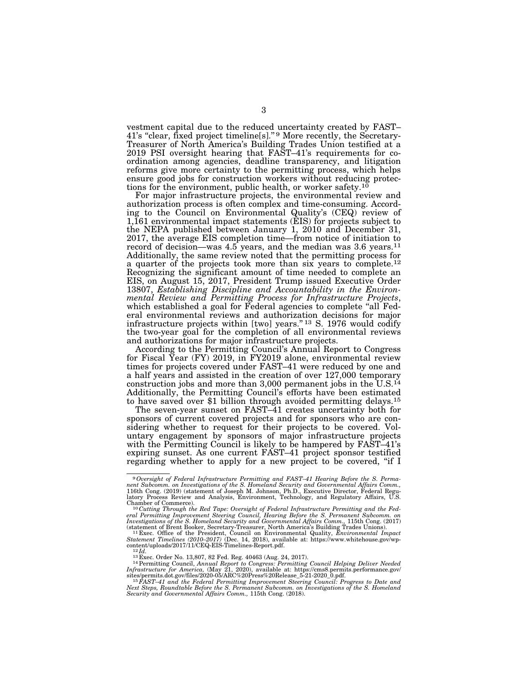vestment capital due to the reduced uncertainty created by FAST– 41's "clear, fixed project timeline[s]." 9 More recently, the Secretary-Treasurer of North America's Building Trades Union testified at a 2019 PSI oversight hearing that FAST–41's requirements for coordination among agencies, deadline transparency, and litigation reforms give more certainty to the permitting process, which helps ensure good jobs for construction workers without reducing protections for the environment, public health, or worker safety.<sup>10</sup>

For major infrastructure projects, the environmental review and authorization process is often complex and time-consuming. According to the Council on Environmental Quality's (CEQ) review of 1,161 environmental impact statements (EIS) for projects subject to the NEPA published between January 1, 2010 and December 31, 2017, the average EIS completion time—from notice of initiation to record of decision—was 4.5 years, and the median was 3.6 years.<sup>11</sup> Additionally, the same review noted that the permitting process for a quarter of the projects took more than six years to complete.12 Recognizing the significant amount of time needed to complete an EIS, on August 15, 2017, President Trump issued Executive Order 13807, *Establishing Discipline and Accountability in the Environ*which established a goal for Federal agencies to complete "all Federal environmental reviews and authorization decisions for major infrastructure projects within [two] years."<sup>13</sup> S. 1976 would codify the two-year goal for the completion of all environmental reviews and authorizations for major infrastructure projects.

According to the Permitting Council's Annual Report to Congress for Fiscal Year (FY) 2019, in FY2019 alone, environmental review times for projects covered under FAST–41 were reduced by one and a half years and assisted in the creation of over 127,000 temporary construction jobs and more than 3,000 permanent jobs in the U.S.<sup>14</sup> Additionally, the Permitting Council's efforts have been estimated to have saved over \$1 billion through avoided permitting delays.15

The seven-year sunset on FAST–41 creates uncertainty both for sponsors of current covered projects and for sponsors who are considering whether to request for their projects to be covered. Voluntary engagement by sponsors of major infrastructure projects with the Permitting Council is likely to be hampered by FAST-41's expiring sunset. As one current FAST–41 project sponsor testified regarding whether to apply for a new project to be covered, ''if I

<sup>9</sup>*Oversight of Federal Infrastructure Permitting and FAST–41 Hearing Before the S. Perma-nent Subcomm. on Investigations of the S. Homeland Security and Governmental Affairs Comm.,*  116th Cong. (2019) (statement of Joseph M. Johnson, Ph.D., Executive Director, Federal Regu-latory Process Review and Analysis, Environment, Technology, and Regulatory Affairs, U.S.

Chamber of Commerce).<br><sup>10</sup>Cutting Through the Red Tape: Oversight of Federal Infrastructure Permitting and the Fed-<br>eral Permitting Improvement Steering Council, Hearing Before the S. Permanent Subcomm. on<br>Investigations o

statement of Brent Booker, Secretary-Treasurer, North America's Building Trades Unions).<br><sup>11</sup> Exec. Office of the President, Council on Environmental Quality, *Environmental Impact*<br>Statement Timelines (2010–2017) (Dec. 14

content/uploads/2017/11/CEQ-EIS-Timelines-Report.pdf.<br><sup>12</sup>Id.<br><sup>12</sup>Id.<br><sup>13</sup>Exec. Order No. 13,807, 82 Fed. Reg. 40463 (Aug. 24, 2017).<br><sup>14</sup>Permitting Council, *Annual Report to Congress: Permitting Council Helping Deliver N* 

*Security and Governmental Affairs Comm.,* 115th Cong. (2018).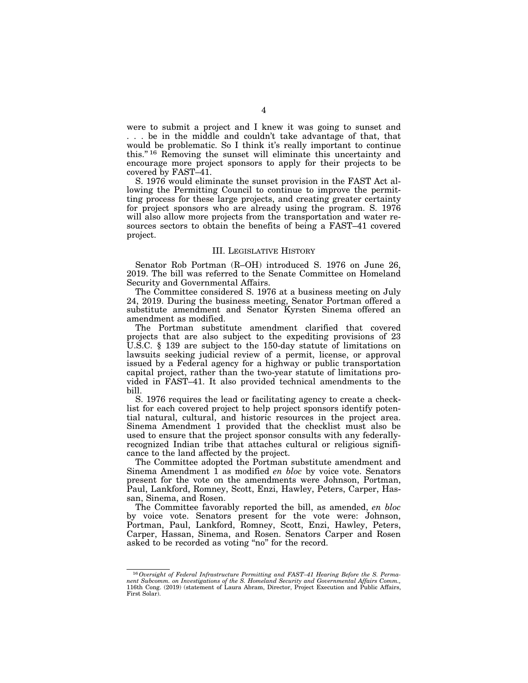were to submit a project and I knew it was going to sunset and . . . be in the middle and couldn't take advantage of that, that would be problematic. So I think it's really important to continue this.'' 16 Removing the sunset will eliminate this uncertainty and encourage more project sponsors to apply for their projects to be covered by FAST–41.

S. 1976 would eliminate the sunset provision in the FAST Act allowing the Permitting Council to continue to improve the permitting process for these large projects, and creating greater certainty for project sponsors who are already using the program. S. 1976 will also allow more projects from the transportation and water resources sectors to obtain the benefits of being a FAST–41 covered project.

#### III. LEGISLATIVE HISTORY

Senator Rob Portman (R–OH) introduced S. 1976 on June 26, 2019. The bill was referred to the Senate Committee on Homeland Security and Governmental Affairs.

The Committee considered S. 1976 at a business meeting on July 24, 2019. During the business meeting, Senator Portman offered a substitute amendment and Senator Kyrsten Sinema offered an amendment as modified.

The Portman substitute amendment clarified that covered projects that are also subject to the expediting provisions of 23 U.S.C. § 139 are subject to the 150-day statute of limitations on lawsuits seeking judicial review of a permit, license, or approval issued by a Federal agency for a highway or public transportation capital project, rather than the two-year statute of limitations provided in FAST–41. It also provided technical amendments to the bill.

S. 1976 requires the lead or facilitating agency to create a checklist for each covered project to help project sponsors identify potential natural, cultural, and historic resources in the project area. Sinema Amendment 1 provided that the checklist must also be used to ensure that the project sponsor consults with any federallyrecognized Indian tribe that attaches cultural or religious significance to the land affected by the project.

The Committee adopted the Portman substitute amendment and Sinema Amendment 1 as modified *en bloc* by voice vote. Senators present for the vote on the amendments were Johnson, Portman, Paul, Lankford, Romney, Scott, Enzi, Hawley, Peters, Carper, Hassan, Sinema, and Rosen.

The Committee favorably reported the bill, as amended, *en bloc*  by voice vote. Senators present for the vote were: Johnson, Portman, Paul, Lankford, Romney, Scott, Enzi, Hawley, Peters, Carper, Hassan, Sinema, and Rosen. Senators Carper and Rosen asked to be recorded as voting ''no'' for the record.

<sup>16</sup>*Oversight of Federal Infrastructure Permitting and FAST–41 Hearing Before the S. Perma-nent Subcomm. on Investigations of the S. Homeland Security and Governmental Affairs Comm.,*  116th Cong. (2019) (statement of Laura Abram, Director, Project Execution and Public Affairs, First Solar).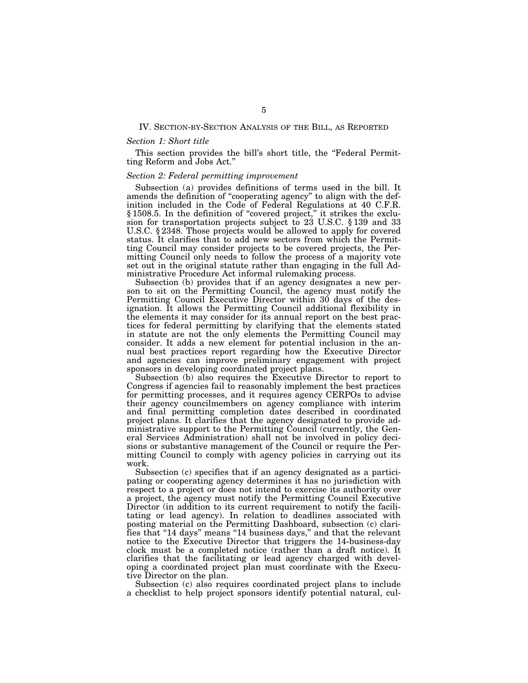#### IV. SECTION-BY-SECTION ANALYSIS OF THE BILL, AS REPORTED

#### *Section 1: Short title*

This section provides the bill's short title, the "Federal Permitting Reform and Jobs Act.''

#### *Section 2: Federal permitting improvement*

Subsection (a) provides definitions of terms used in the bill. It amends the definition of ''cooperating agency'' to align with the definition included in the Code of Federal Regulations at 40 C.F.R. § 1508.5. In the definition of ''covered project,'' it strikes the exclusion for transportation projects subject to 23 U.S.C. § 139 and 33 U.S.C. § 2348. Those projects would be allowed to apply for covered status. It clarifies that to add new sectors from which the Permitting Council may consider projects to be covered projects, the Permitting Council only needs to follow the process of a majority vote set out in the original statute rather than engaging in the full Administrative Procedure Act informal rulemaking process.

Subsection (b) provides that if an agency designates a new person to sit on the Permitting Council, the agency must notify the Permitting Council Executive Director within 30 days of the designation. It allows the Permitting Council additional flexibility in the elements it may consider for its annual report on the best practices for federal permitting by clarifying that the elements stated in statute are not the only elements the Permitting Council may consider. It adds a new element for potential inclusion in the annual best practices report regarding how the Executive Director and agencies can improve preliminary engagement with project sponsors in developing coordinated project plans.

Subsection (b) also requires the Executive Director to report to Congress if agencies fail to reasonably implement the best practices for permitting processes, and it requires agency CERPOs to advise their agency councilmembers on agency compliance with interim and final permitting completion dates described in coordinated project plans. It clarifies that the agency designated to provide administrative support to the Permitting Council (currently, the General Services Administration) shall not be involved in policy decisions or substantive management of the Council or require the Permitting Council to comply with agency policies in carrying out its work.

Subsection (c) specifies that if an agency designated as a participating or cooperating agency determines it has no jurisdiction with respect to a project or does not intend to exercise its authority over a project, the agency must notify the Permitting Council Executive Director (in addition to its current requirement to notify the facilitating or lead agency). In relation to deadlines associated with posting material on the Permitting Dashboard, subsection (c) clarifies that "14 days" means "14 business days," and that the relevant notice to the Executive Director that triggers the 14-business-day clock must be a completed notice (rather than a draft notice). It clarifies that the facilitating or lead agency charged with developing a coordinated project plan must coordinate with the Executive Director on the plan.

Subsection (c) also requires coordinated project plans to include a checklist to help project sponsors identify potential natural, cul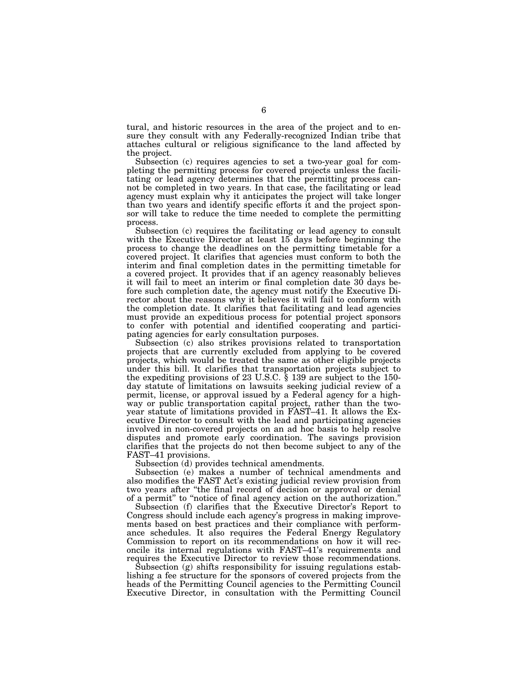tural, and historic resources in the area of the project and to ensure they consult with any Federally-recognized Indian tribe that attaches cultural or religious significance to the land affected by the project.

Subsection (c) requires agencies to set a two-year goal for completing the permitting process for covered projects unless the facilitating or lead agency determines that the permitting process cannot be completed in two years. In that case, the facilitating or lead agency must explain why it anticipates the project will take longer than two years and identify specific efforts it and the project sponsor will take to reduce the time needed to complete the permitting process.

Subsection (c) requires the facilitating or lead agency to consult with the Executive Director at least 15 days before beginning the process to change the deadlines on the permitting timetable for a covered project. It clarifies that agencies must conform to both the interim and final completion dates in the permitting timetable for a covered project. It provides that if an agency reasonably believes it will fail to meet an interim or final completion date 30 days before such completion date, the agency must notify the Executive Director about the reasons why it believes it will fail to conform with the completion date. It clarifies that facilitating and lead agencies must provide an expeditious process for potential project sponsors to confer with potential and identified cooperating and participating agencies for early consultation purposes.

Subsection (c) also strikes provisions related to transportation projects that are currently excluded from applying to be covered projects, which would be treated the same as other eligible projects under this bill. It clarifies that transportation projects subject to the expediting provisions of 23 U.S.C. § 139 are subject to the 150 day statute of limitations on lawsuits seeking judicial review of a permit, license, or approval issued by a Federal agency for a highway or public transportation capital project, rather than the twoyear statute of limitations provided in FAST–41. It allows the Executive Director to consult with the lead and participating agencies involved in non-covered projects on an ad hoc basis to help resolve disputes and promote early coordination. The savings provision clarifies that the projects do not then become subject to any of the FAST–41 provisions.

Subsection (d) provides technical amendments.

Subsection (e) makes a number of technical amendments and also modifies the FAST Act's existing judicial review provision from two years after ''the final record of decision or approval or denial of a permit'' to ''notice of final agency action on the authorization.''

Subsection (f) clarifies that the Executive Director's Report to Congress should include each agency's progress in making improvements based on best practices and their compliance with performance schedules. It also requires the Federal Energy Regulatory Commission to report on its recommendations on how it will reconcile its internal regulations with FAST–41's requirements and requires the Executive Director to review those recommendations.

Subsection (g) shifts responsibility for issuing regulations establishing a fee structure for the sponsors of covered projects from the heads of the Permitting Council agencies to the Permitting Council Executive Director, in consultation with the Permitting Council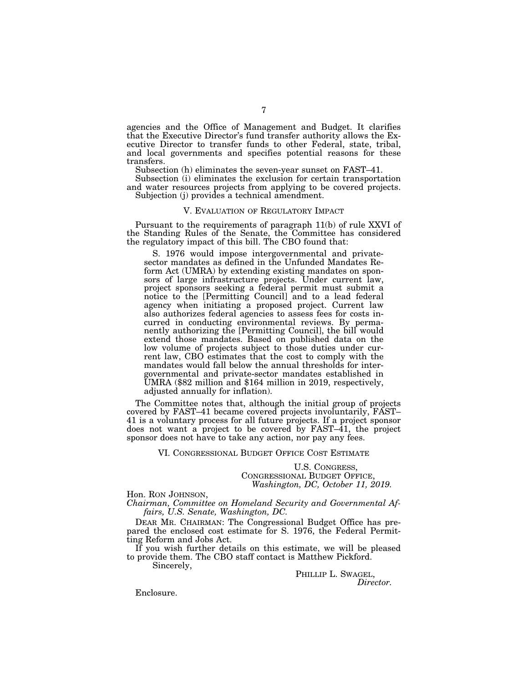agencies and the Office of Management and Budget. It clarifies that the Executive Director's fund transfer authority allows the Executive Director to transfer funds to other Federal, state, tribal, and local governments and specifies potential reasons for these transfers.

Subsection (h) eliminates the seven-year sunset on FAST–41.

Subsection (i) eliminates the exclusion for certain transportation and water resources projects from applying to be covered projects. Subjection (j) provides a technical amendment.

#### V. EVALUATION OF REGULATORY IMPACT

Pursuant to the requirements of paragraph 11(b) of rule XXVI of the Standing Rules of the Senate, the Committee has considered the regulatory impact of this bill. The CBO found that:

S. 1976 would impose intergovernmental and privatesector mandates as defined in the Unfunded Mandates Reform Act (UMRA) by extending existing mandates on sponsors of large infrastructure projects. Under current law, project sponsors seeking a federal permit must submit a notice to the [Permitting Council] and to a lead federal agency when initiating a proposed project. Current law also authorizes federal agencies to assess fees for costs incurred in conducting environmental reviews. By permanently authorizing the [Permitting Council], the bill would extend those mandates. Based on published data on the low volume of projects subject to those duties under current law, CBO estimates that the cost to comply with the mandates would fall below the annual thresholds for intergovernmental and private-sector mandates established in UMRA (\$82 million and \$164 million in 2019, respectively, adjusted annually for inflation).

The Committee notes that, although the initial group of projects covered by FAST–41 became covered projects involuntarily, FAST– 41 is a voluntary process for all future projects. If a project sponsor does not want a project to be covered by FAST–41, the project sponsor does not have to take any action, nor pay any fees.

VI. CONGRESSIONAL BUDGET OFFICE COST ESTIMATE

U.S. CONGRESS, CONGRESSIONAL BUDGET OFFICE, *Washington, DC, October 11, 2019.* 

Hon. RON JOHNSON,

*Chairman, Committee on Homeland Security and Governmental Affairs, U.S. Senate, Washington, DC.* 

DEAR MR. CHAIRMAN: The Congressional Budget Office has prepared the enclosed cost estimate for S. 1976, the Federal Permitting Reform and Jobs Act.

If you wish further details on this estimate, we will be pleased to provide them. The CBO staff contact is Matthew Pickford.

Sincerely,

PHILLIP L. SWAGEL, *Director.* 

Enclosure.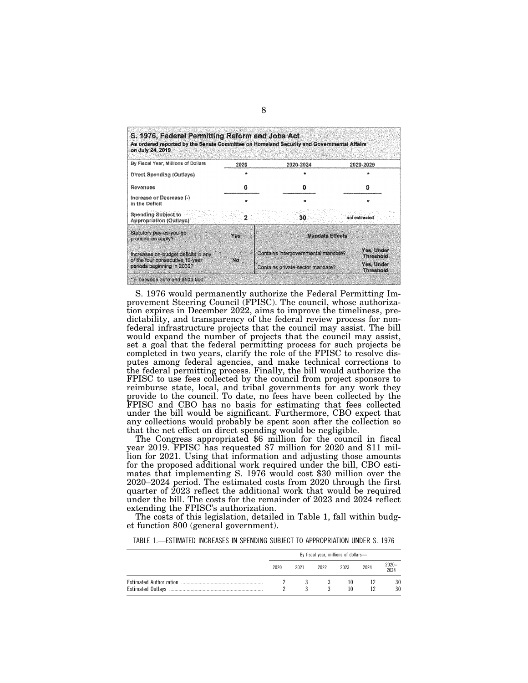| S. 1976, Federal Permitting Reform and Jobs Act<br>on July 24, 2019    |      | As ordered reported by the Senate Committee on Homeland Security and Governmental Affairs |                                |  |  |
|------------------------------------------------------------------------|------|-------------------------------------------------------------------------------------------|--------------------------------|--|--|
| By Fiscal Year, Millions of Dollars                                    | 2020 | 2020-2024                                                                                 | 2020-2029                      |  |  |
| Direct Spending (Outlays)                                              |      |                                                                                           | يهد                            |  |  |
| Revenues                                                               | ο    | O                                                                                         | o                              |  |  |
| Increase or Decrease (-)<br>in the Deficit                             | ÷    |                                                                                           |                                |  |  |
| Spending Subject to<br>Appropriation (Outlays)                         |      | 30                                                                                        | not estimated                  |  |  |
| Statutory pay-as-you-go<br>procedures apply?                           | Yes  | Mandate Effects                                                                           |                                |  |  |
| Increases on-budget deficits in any<br>of the four consecutive 10-year | No   | Contains intergovernmental mandate?                                                       | Yes, Under<br><b>Threshold</b> |  |  |
| periods beginning in 2030?                                             |      | Contains private-sector mandate?                                                          | Yes, Under<br>Threshold        |  |  |
| $*$ = between zero and \$500,000.                                      |      |                                                                                           |                                |  |  |

S. 1976 would permanently authorize the Federal Permitting Improvement Steering Council (FPISC). The council, whose authorization expires in December 2022, aims to improve the timeliness, predictability, and transparency of the federal review process for nonfederal infrastructure projects that the council may assist. The bill would expand the number of projects that the council may assist, set a goal that the federal permitting process for such projects be completed in two years, clarify the role of the FPISC to resolve disputes among federal agencies, and make technical corrections to the federal permitting process. Finally, the bill would authorize the FPISC to use fees collected by the council from project sponsors to reimburse state, local, and tribal governments for any work they provide to the council. To date, no fees have been collected by the FPISC and CBO has no basis for estimating that fees collected under the bill would be significant. Furthermore, CBO expect that any collections would probably be spent soon after the collection so that the net effect on direct spending would be negligible.

The Congress appropriated \$6 million for the council in fiscal year 2019. FPISC has requested \$7 million for 2020 and \$11 million for 2021. Using that information and adjusting those amounts for the proposed additional work required under the bill, CBO estimates that implementing S. 1976 would cost \$30 million over the 2020–2024 period. The estimated costs from 2020 through the first quarter of 2023 reflect the additional work that would be required under the bill. The costs for the remainder of 2023 and 2024 reflect extending the FPISC's authorization.

The costs of this legislation, detailed in Table 1, fall within budget function 800 (general government).

TABLE 1.—ESTIMATED INCREASES IN SPENDING SUBJECT TO APPROPRIATION UNDER S. 1976

| By fiscal year, millions of dollars- |      |      |          |      |               |
|--------------------------------------|------|------|----------|------|---------------|
| 2020                                 | 2021 | 2022 | 2023     | 2024 | 2020-<br>2024 |
|                                      |      | 3.   | 10<br>10 |      | 30<br>30      |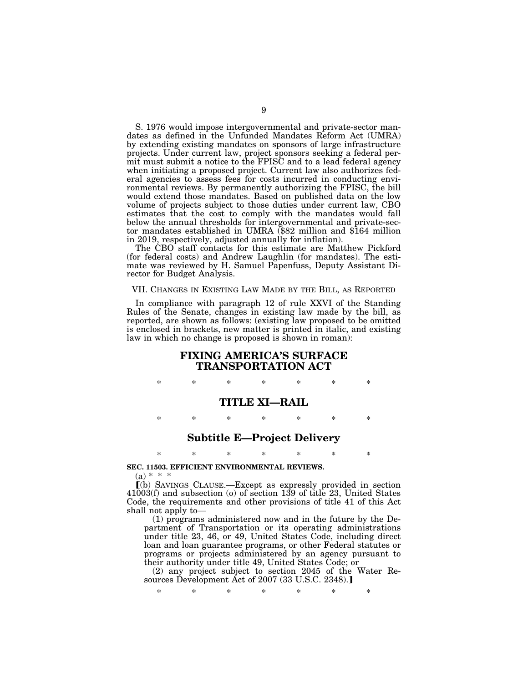S. 1976 would impose intergovernmental and private-sector mandates as defined in the Unfunded Mandates Reform Act (UMRA) by extending existing mandates on sponsors of large infrastructure projects. Under current law, project sponsors seeking a federal permit must submit a notice to the FPISC and to a lead federal agency when initiating a proposed project. Current law also authorizes federal agencies to assess fees for costs incurred in conducting environmental reviews. By permanently authorizing the FPISC, the bill would extend those mandates. Based on published data on the low volume of projects subject to those duties under current law, CBO estimates that the cost to comply with the mandates would fall below the annual thresholds for intergovernmental and private-sector mandates established in UMRA (\$82 million and \$164 million in 2019, respectively, adjusted annually for inflation).

The CBO staff contacts for this estimate are Matthew Pickford (for federal costs) and Andrew Laughlin (for mandates). The estimate was reviewed by H. Samuel Papenfuss, Deputy Assistant Director for Budget Analysis.

#### VII. CHANGES IN EXISTING LAW MADE BY THE BILL, AS REPORTED

In compliance with paragraph 12 of rule XXVI of the Standing Rules of the Senate, changes in existing law made by the bill, as reported, are shown as follows: (existing law proposed to be omitted is enclosed in brackets, new matter is printed in italic, and existing law in which no change is proposed is shown in roman):

### **FIXING AMERICA'S SURFACE TRANSPORTATION ACT**

\* \* \* \* \* \* \*

#### **TITLE XI—RAIL**

\* \* \* \* \* \* \*

## **Subtitle E—Project Delivery**

\* \* \* \* \* \* \*

#### **SEC. 11503. EFFICIENT ENVIRONMENTAL REVIEWS.**

 $(a) * * *$ 

ø(b) SAVINGS CLAUSE.—Except as expressly provided in section 41003(f) and subsection (o) of section 139 of title 23, United States Code, the requirements and other provisions of title 41 of this Act shall not apply to—

(1) programs administered now and in the future by the Department of Transportation or its operating administrations under title 23, 46, or 49, United States Code, including direct loan and loan guarantee programs, or other Federal statutes or programs or projects administered by an agency pursuant to their authority under title 49, United States Code; or

(2) any project subject to section 2045 of the Water Resources Development Act of 2007 (33 U.S.C. 2348).

\* \* \* \* \* \* \*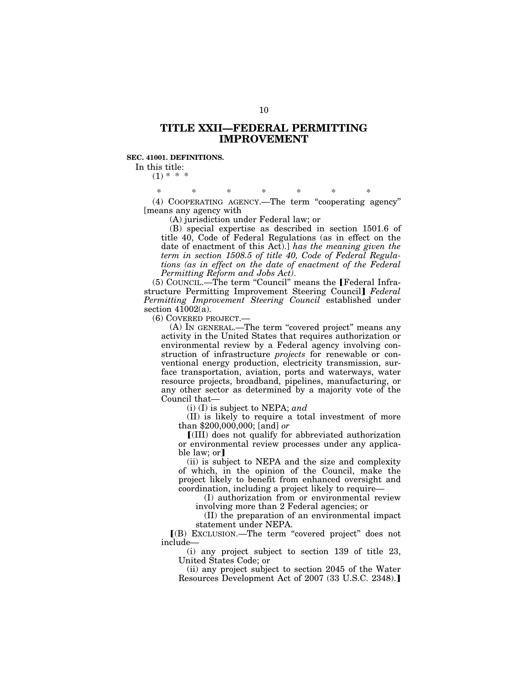# **TITLE XXII—FEDERAL PERMITTING IMPROVEMENT**

#### **SEC. 41001. DEFINITIONS.**

In this title:

 $(1)$  \* \* \*

\* \* \* \* \* \* \* (4) COOPERATING AGENCY.—The term ''cooperating agency'' [means any agency with

(A) jurisdiction under Federal law; or

(B) special expertise as described in section 1501.6 of title 40, Code of Federal Regulations (as in effect on the date of enactment of this Act).] *has the meaning given the term in section 1508.5 of title 40, Code of Federal Regulations (as in effect on the date of enactment of the Federal Permitting Reform and Jobs Act)*.

 $(5)$  COUNCIL.—The term "Council" means the [Federal Infrastructure Permitting Improvement Steering Council Federal *Permitting Improvement Steering Council* established under section 41002(a).

(6) COVERED PROJECT.—

(A) IN GENERAL.—The term "covered project" means any activity in the United States that requires authorization or environmental review by a Federal agency involving construction of infrastructure *projects* for renewable or conventional energy production, electricity transmission, surface transportation, aviation, ports and waterways, water resource projects, broadband, pipelines, manufacturing, or any other sector as determined by a majority vote of the Council that—

(i) (I) is subject to NEPA; *and* 

(II) is likely to require a total investment of more than \$200,000,000; [and] *or* 

ø(III) does not qualify for abbreviated authorization or environmental review processes under any applicable law; or

(ii) is subject to NEPA and the size and complexity of which, in the opinion of the Council, make the project likely to benefit from enhanced oversight and coordination, including a project likely to require—

(I) authorization from or environmental review involving more than 2 Federal agencies; or

(II) the preparation of an environmental impact statement under NEPA.

ø(B) EXCLUSION.—The term ''covered project'' does not include—

(i) any project subject to section 139 of title 23, United States Code; or

(ii) any project subject to section 2045 of the Water Resources Development Act of 2007 (33 U.S.C. 2348).]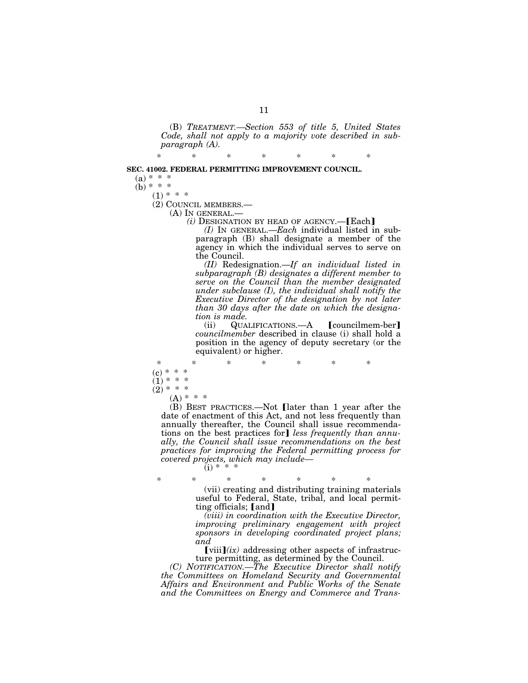(B) *TREATMENT.—Section 553 of title 5, United States Code, shall not apply to a majority vote described in subparagraph (A).* 

(b) \* \* \*

 $(1) * * *$ <br>(2) COUNCIL MEMBERS.—

(A) IN GENERAL.—<br>*(i)* DESIGNATION BY HEAD OF AGENCY.— $[Each]$ 

*(I)* IN GENERAL.—*Each* individual listed in subparagraph (B) shall designate a member of the agency in which the individual serves to serve on the Council.

*(II)* Redesignation.—*If an individual listed in subparagraph (B) designates a different member to serve on the Council than the member designated under subclause (I), the individual shall notify the Executive Director of the designation by not later than 30 days after the date on which the designation is made.* 

 $(iii)$  QUALIFICATIONS.—A  $\lceil$  councilmem-ber *councilmember* described in clause (i) shall hold a position in the agency of deputy secretary (or the equivalent) or higher.

\* \* \* \* \* \* \*  $(c) * * * *$  $(1)$  \* \* \*<br> $(2)$  \* \* \*  $(2) * *$  $(A) * * * *$ (B) BEST PRACTICES.—Not **[later than 1 year after the** 

date of enactment of this Act, and not less frequently than annually thereafter, the Council shall issue recommendations on the best practices for] less frequently than annu*ally, the Council shall issue recommendations on the best practices for improving the Federal permitting process for covered projects, which may include—*  (i) \* \* \*

\* \* \* \* \* \* \* (vii) creating and distributing training materials useful to Federal, State, tribal, and local permitting officials; [and]

*(viii) in coordination with the Executive Director, improving preliminary engagement with project sponsors in developing coordinated project plans; and* 

 $\left[\text{viii}\right](ix)$  addressing other aspects of infrastructure permitting, as determined by the Council.

*(C) NOTIFICATION.—The Executive Director shall notify the Committees on Homeland Security and Governmental Affairs and Environment and Public Works of the Senate and the Committees on Energy and Commerce and Trans-*

\* \* \* \* \* \* \*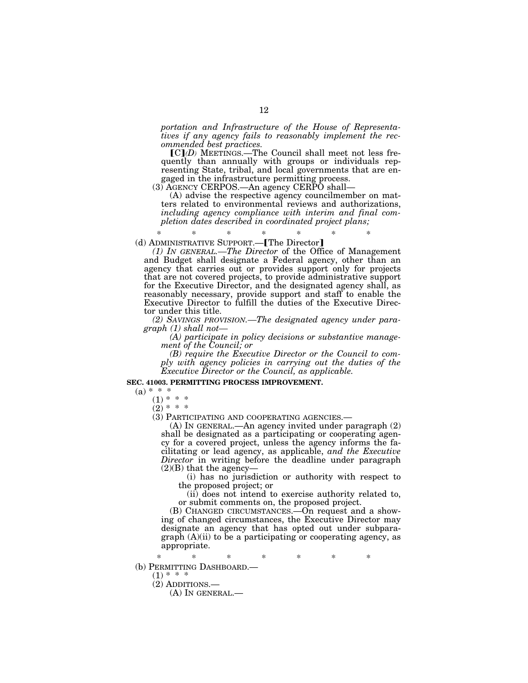*portation and Infrastructure of the House of Representatives if any agency fails to reasonably implement the recommended best practices.* 

 $\lceil \text{C} \rceil$ *(D)* MEETINGS.—The Council shall meet not less frequently than annually with groups or individuals representing State, tribal, and local governments that are engaged in the infrastructure permitting process.

(3) AGENCY CERPOS.—An agency CERPO shall—

(A) advise the respective agency councilmember on matters related to environmental reviews and authorizations, *including agency compliance with interim and final completion dates described in coordinated project plans;* 

\* \* \* \* \* \* \*  $(d)$  ADMINISTRATIVE SUPPORT.— $[$ The Director $]$ 

*(1) IN GENERAL.—The Director* of the Office of Management and Budget shall designate a Federal agency, other than an agency that carries out or provides support only for projects that are not covered projects, to provide administrative support for the Executive Director, and the designated agency shall, as reasonably necessary, provide support and staff to enable the Executive Director to fulfill the duties of the Executive Director under this title.

*(2) SAVINGS PROVISION.—The designated agency under paragraph (1) shall not—* 

*(A) participate in policy decisions or substantive management of the Council; or* 

*(B) require the Executive Director or the Council to comply with agency policies in carrying out the duties of the Executive Director or the Council, as applicable.* 

#### **SEC. 41003. PERMITTING PROCESS IMPROVEMENT.**

 $(a) * * * *$ 

 $(1) * *$ 

 $(2)$  \* \* \*<br>(3) PARTICIPATING AND COOPERATING AGENCIES.—

(A) IN GENERAL.—An agency invited under paragraph  $(2)$ shall be designated as a participating or cooperating agency for a covered project, unless the agency informs the facilitating or lead agency, as applicable, *and the Executive Director* in writing before the deadline under paragraph  $(2)(B)$  that the agency-

(i) has no jurisdiction or authority with respect to the proposed project; or

(ii) does not intend to exercise authority related to, or submit comments on, the proposed project.

(B) CHANGED CIRCUMSTANCES.—On request and a showing of changed circumstances, the Executive Director may designate an agency that has opted out under subparagraph  $(A)(ii)$  to be a participating or cooperating agency, as appropriate.

\* \* \* \* \* \* \* (b) PERMITTING DASHBOARD.— $(1)$  \* \* \*

(2) ADDITIONS.—

(A) IN GENERAL.—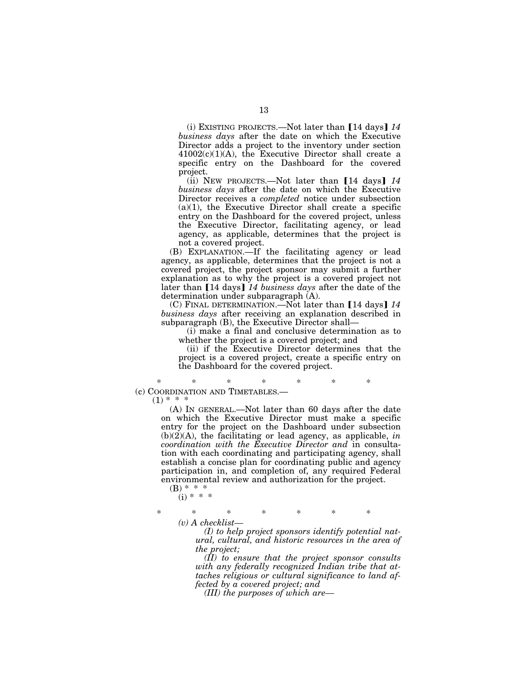(i) EXISTING PROJECTS.—Not later than  $[14 \text{ days}]$  14 *business days* after the date on which the Executive Director adds a project to the inventory under section 41002(c)(1)(A), the Executive Director shall create a specific entry on the Dashboard for the covered project.

 $(ii)$  NEW PROJECTS.—Not later than  $[14 \text{ days}]$   $14$ *business days* after the date on which the Executive Director receives a *completed* notice under subsection  $(a)(1)$ , the Executive Director shall create a specific entry on the Dashboard for the covered project, unless the Executive Director, facilitating agency, or lead agency, as applicable, determines that the project is not a covered project.

(B) EXPLANATION.—If the facilitating agency or lead agency, as applicable, determines that the project is not a covered project, the project sponsor may submit a further explanation as to why the project is a covered project not later than [14 days] 14 business days after the date of the determination under subparagraph (A).

(C) FINAL DETERMINATION.—Not later than [14 days] 14 *business days* after receiving an explanation described in subparagraph (B), the Executive Director shall—

(i) make a final and conclusive determination as to whether the project is a covered project; and

(ii) if the Executive Director determines that the project is a covered project, create a specific entry on the Dashboard for the covered project.

\* \* \* \* \* \* \* (c) COORDINATION AND TIMETABLES.—

 $(1)$  \*

(A) IN GENERAL.—Not later than 60 days after the date on which the Executive Director must make a specific entry for the project on the Dashboard under subsection  $(b)(2)(A)$ , the facilitating or lead agency, as applicable, *in coordination with the Executive Director and* in consultation with each coordinating and participating agency, shall establish a concise plan for coordinating public and agency participation in, and completion of, any required Federal environmental review and authorization for the project.

 $(B) * * * *$  $(i) * * * *$ 

\* \* \* \* \* \* \* *(v) A checklist—* 

> *(I) to help project sponsors identify potential natural, cultural, and historic resources in the area of the project;*

> *(II) to ensure that the project sponsor consults with any federally recognized Indian tribe that attaches religious or cultural significance to land affected by a covered project; and*

*(III) the purposes of which are—*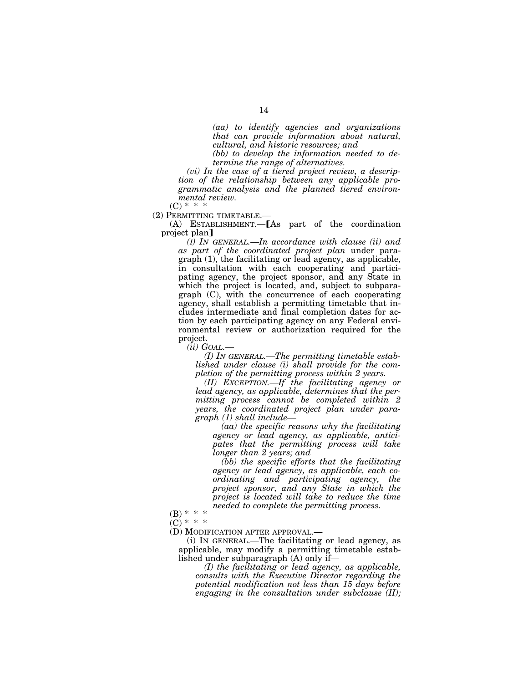*(aa) to identify agencies and organizations that can provide information about natural, cultural, and historic resources; and* 

*(bb) to develop the information needed to determine the range of alternatives.* 

*(vi) In the case of a tiered project review, a description of the relationship between any applicable programmatic analysis and the planned tiered environmental review.* 

 $(C) * * *$ 

(2) PERMITTING TIMETABLE.—

 $(A)$  ESTABLISHMENT. [As part of the coordination project plan

*(I) IN GENERAL.—In accordance with clause (ii) and as part of the coordinated project plan* under paragraph (1), the facilitating or lead agency, as applicable, in consultation with each cooperating and participating agency, the project sponsor, and any State in which the project is located, and, subject to subparagraph (C), with the concurrence of each cooperating agency, shall establish a permitting timetable that includes intermediate and final completion dates for action by each participating agency on any Federal environmental review or authorization required for the project.

*(ii) GOAL.—* 

*(I) IN GENERAL.—The permitting timetable established under clause (i) shall provide for the completion of the permitting process within 2 years.* 

*(II) EXCEPTION.—If the facilitating agency or lead agency, as applicable, determines that the permitting process cannot be completed within 2 years, the coordinated project plan under paragraph (1) shall include—* 

*(aa) the specific reasons why the facilitating agency or lead agency, as applicable, anticipates that the permitting process will take longer than 2 years; and* 

*(bb) the specific efforts that the facilitating agency or lead agency, as applicable, each coordinating and participating agency, the project sponsor, and any State in which the project is located will take to reduce the time needed to complete the permitting process.* 

(B) \* \* \*

 $(C) * * *$ 

(D) MODIFICATION AFTER APPROVAL.—

(i) IN GENERAL.—The facilitating or lead agency, as applicable, may modify a permitting timetable established under subparagraph (A) only if—

*(I) the facilitating or lead agency, as applicable, consults with the Executive Director regarding the potential modification not less than 15 days before engaging in the consultation under subclause (II);*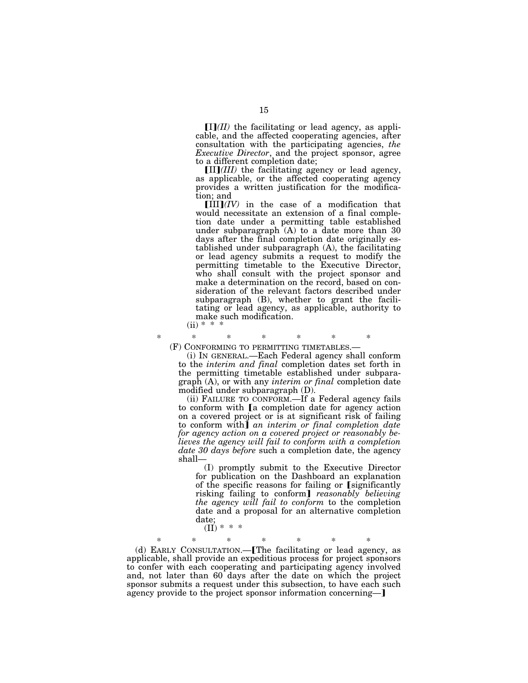$\prod(I/I)$  the facilitating or lead agency, as applicable, and the affected cooperating agencies, after consultation with the participating agencies, *the Executive Director*, and the project sponsor, agree to a different completion date;

 $\text{[II]}$ *(III)* the facilitating agency or lead agency, as applicable, or the affected cooperating agency provides a written justification for the modification; and

 $[III](IV)$  in the case of a modification that would necessitate an extension of a final completion date under a permitting table established under subparagraph  $(A)$  to a date more than 30 days after the final completion date originally established under subparagraph (A), the facilitating or lead agency submits a request to modify the permitting timetable to the Executive Director, who shall consult with the project sponsor and make a determination on the record, based on consideration of the relevant factors described under subparagraph (B), whether to grant the facilitating or lead agency, as applicable, authority to make such modification.

 $(ii)$  \*

\* \* \* \* \* \* \*

(F) CONFORMING TO PERMITTING TIMETABLES.— (i) IN GENERAL.—Each Federal agency shall conform to the *interim and final* completion dates set forth in the permitting timetable established under subparagraph (A), or with any *interim or final* completion date modified under subparagraph (D).

(ii) FAILURE TO CONFORM.—If a Federal agency fails to conform with [a completion date for agency action on a covered project or is at significant risk of failing to conform with] *an interim or final completion date for agency action on a covered project or reasonably believes the agency will fail to conform with a completion date 30 days before* such a completion date, the agency shall—

(I) promptly submit to the Executive Director for publication on the Dashboard an explanation of the specific reasons for failing or [significantly risking failing to conform] *reasonably believing the agency will fail to conform* to the completion date and a proposal for an alternative completion date;  $(II) * * *$ 

\* \* \* \* \* \* \* (d) EARLY CONSULTATION.—[The facilitating or lead agency, as applicable, shall provide an expeditious process for project sponsors to confer with each cooperating and participating agency involved and, not later than 60 days after the date on which the project sponsor submits a request under this subsection, to have each such agency provide to the project sponsor information concerning—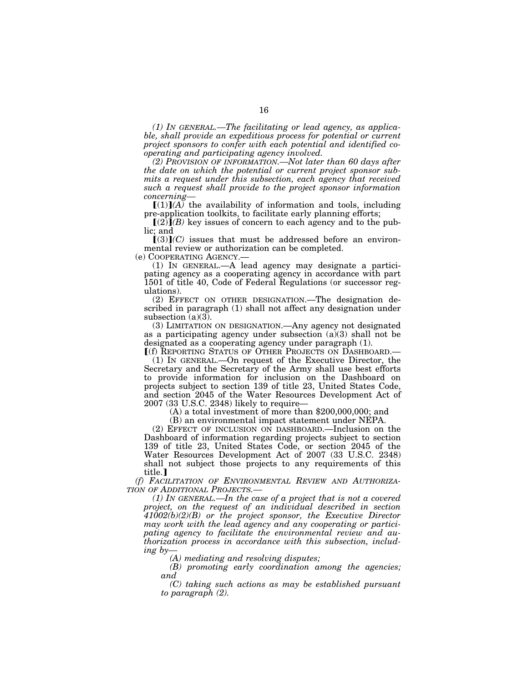*(1) IN GENERAL.—The facilitating or lead agency, as applicable, shall provide an expeditious process for potential or current project sponsors to confer with each potential and identified cooperating and participating agency involved.* 

*(2) PROVISION OF INFORMATION.—Not later than 60 days after the date on which the potential or current project sponsor submits a request under this subsection, each agency that received such a request shall provide to the project sponsor information concerning—* 

 $[(1)](A)$  the availability of information and tools, including

pre-application toolkits, to facilitate early planning efforts;<br> $(2)$ *(B)* key issues of concern to each agency and to the public; and

 $[(3)](C)$  issues that must be addressed before an environmental review or authorization can be completed.

(e) COOPERATING AGENCY.—

(1) IN GENERAL.—A lead agency may designate a participating agency as a cooperating agency in accordance with part 1501 of title 40, Code of Federal Regulations (or successor regulations).

(2) EFFECT ON OTHER DESIGNATION.—The designation described in paragraph (1) shall not affect any designation under subsection  $(a)(3)$ .

(3) LIMITATION ON DESIGNATION.—Any agency not designated as a participating agency under subsection  $(a)(3)$  shall not be designated as a cooperating agency under paragraph (1).

<sup>ø</sup>(f) REPORTING STATUS OF OTHER PROJECTS ON DASHBOARD.— (1) IN GENERAL.—On request of the Executive Director, the Secretary and the Secretary of the Army shall use best efforts to provide information for inclusion on the Dashboard on projects subject to section 139 of title 23, United States Code, and section 2045 of the Water Resources Development Act of 2007 (33 U.S.C. 2348) likely to require—

 $(A)$  a total investment of more than \$200,000,000; and

(B) an environmental impact statement under NEPA.

(2) EFFECT OF INCLUSION ON DASHBOARD.—Inclusion on the Dashboard of information regarding projects subject to section 139 of title 23, United States Code, or section 2045 of the Water Resources Development Act of 2007 (33 U.S.C. 2348) shall not subject those projects to any requirements of this title.

*(f) FACILITATION OF ENVIRONMENTAL REVIEW AND AUTHORIZA-TION OF ADDITIONAL PROJECTS.—* 

*(1) IN GENERAL.—In the case of a project that is not a covered project, on the request of an individual described in section 41002(b)(2)(B) or the project sponsor, the Executive Director may work with the lead agency and any cooperating or participating agency to facilitate the environmental review and authorization process in accordance with this subsection, including by—* 

*(A) mediating and resolving disputes;* 

*(B) promoting early coordination among the agencies; and* 

*(C) taking such actions as may be established pursuant to paragraph (2).*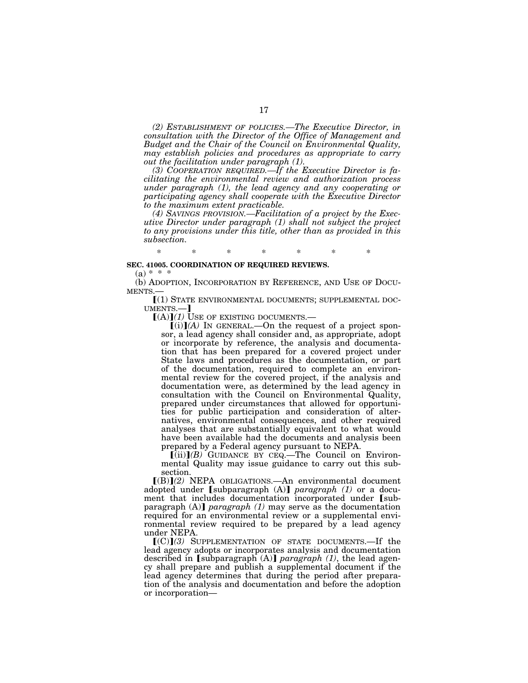*(2) ESTABLISHMENT OF POLICIES.—The Executive Director, in consultation with the Director of the Office of Management and Budget and the Chair of the Council on Environmental Quality, may establish policies and procedures as appropriate to carry out the facilitation under paragraph (1).* 

*(3) COOPERATION REQUIRED.—If the Executive Director is facilitating the environmental review and authorization process under paragraph (1), the lead agency and any cooperating or participating agency shall cooperate with the Executive Director to the maximum extent practicable.* 

*(4) SAVINGS PROVISION.—Facilitation of a project by the Executive Director under paragraph (1) shall not subject the project to any provisions under this title, other than as provided in this subsection.* 

\* \* \* \* \* \* \*

#### **SEC. 41005. COORDINATION OF REQUIRED REVIEWS.**

 $(a) * * * *$ 

(b) ADOPTION, INCORPORATION BY REFERENCE, AND USE OF DOCU-MENTS.

[(1) STATE ENVIRONMENTAL DOCUMENTS; SUPPLEMENTAL DOCUMENTS.— $[({\bf A})]$ (1) USE OF EXISTING DOCUMENTS.—

 $(i)$  $(A)$  In GENERAL.—On the request of a project sponsor, a lead agency shall consider and, as appropriate, adopt or incorporate by reference, the analysis and documentation that has been prepared for a covered project under State laws and procedures as the documentation, or part of the documentation, required to complete an environmental review for the covered project, if the analysis and documentation were, as determined by the lead agency in consultation with the Council on Environmental Quality, prepared under circumstances that allowed for opportunities for public participation and consideration of alternatives, environmental consequences, and other required analyses that are substantially equivalent to what would have been available had the documents and analysis been prepared by a Federal agency pursuant to NEPA.

 $\left[\text{(ii)}\right]$ *(B)* GUIDANCE BY CEQ.—The Council on Environmental Quality may issue guidance to carry out this subsection.

 $[(B)](2)$  NEPA OBLIGATIONS.—An environmental document adopted under [subparagraph (A)] *paragraph (1)* or a document that includes documentation incorporated under [subparagraph  $(A)$  *paragraph*  $(I)$  may serve as the documentation required for an environmental review or a supplemental environmental review required to be prepared by a lead agency under NEPA.

 $[(C)](3)$  SUPPLEMENTATION OF STATE DOCUMENTS.—If the lead agency adopts or incorporates analysis and documentation described in  $\lceil \text{subparam}(\mathbf{A}) \rceil$  *paragraph* (1), the lead agency shall prepare and publish a supplemental document if the lead agency determines that during the period after preparation of the analysis and documentation and before the adoption or incorporation—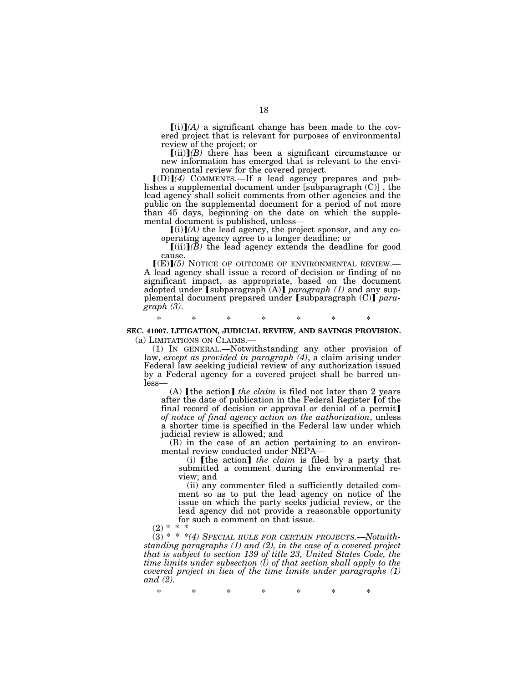$\lceil (i) \rceil$ *(A)* a significant change has been made to the covered project that is relevant for purposes of environmental review of the project; or

 $\lceil$ (ii) $\rceil$ (*B*) there has been a significant circumstance or new information has emerged that is relevant to the environmental review for the covered project.

 $[(D)](4)$  COMMENTS.—If a lead agency prepares and publishes a supplemental document under [subparagraph (C)] , the lead agency shall solicit comments from other agencies and the public on the supplemental document for a period of not more than 45 days, beginning on the date on which the supplemental document is published, unless—

 $[(i)](A)$  the lead agency, the project sponsor, and any cooperating agency agree to a longer deadline; or

 $[(ii)]$  $(B)$  the lead agency extends the deadline for good cause.

 $(\mathbf{E})(\mathbf{5})$  NOTICE OF OUTCOME OF ENVIRONMENTAL REVIEW.—<br>A lead agency shall issue a record of decision or finding of no significant impact, as appropriate, based on the document adopted under [subparagraph (A)] *paragraph (1)* and any supplemental document prepared under [subparagraph (C)] para*graph (3)*.

\* \* \* \* \* \* \* **SEC. 41007. LITIGATION, JUDICIAL REVIEW, AND SAVINGS PROVISION.** 

(a) LIMITATIONS ON CLAIMS.— (1) IN GENERAL.—Notwithstanding any other provision of law, *except as provided in paragraph (4)*, a claim arising under Federal law seeking judicial review of any authorization issued by a Federal agency for a covered project shall be barred unless—

(A)  $[$ the action $]$  *the claim* is filed not later than 2 years after the date of publication in the Federal Register [of the final record of decision or approval or denial of a permit] *of notice of final agency action on the authorization*, unless a shorter time is specified in the Federal law under which judicial review is allowed; and

(B) in the case of an action pertaining to an environmental review conducted under NEPA—

(i)  $[$ the action $]$  *the claim* is filed by a party that submitted a comment during the environmental review; and

(ii) any commenter filed a sufficiently detailed comment so as to put the lead agency on notice of the issue on which the party seeks judicial review, or the lead agency did not provide a reasonable opportunity for such a comment on that issue.

 $(2) *$ 

(3) \* \* \**(4) SPECIAL RULE FOR CERTAIN PROJECTS.—Notwithstanding paragraphs (1) and (2), in the case of a covered project that is subject to section 139 of title 23, United States Code, the time limits under subsection (l) of that section shall apply to the covered project in lieu of the time limits under paragraphs (1) and (2).* 

\* \* \* \* \* \* \*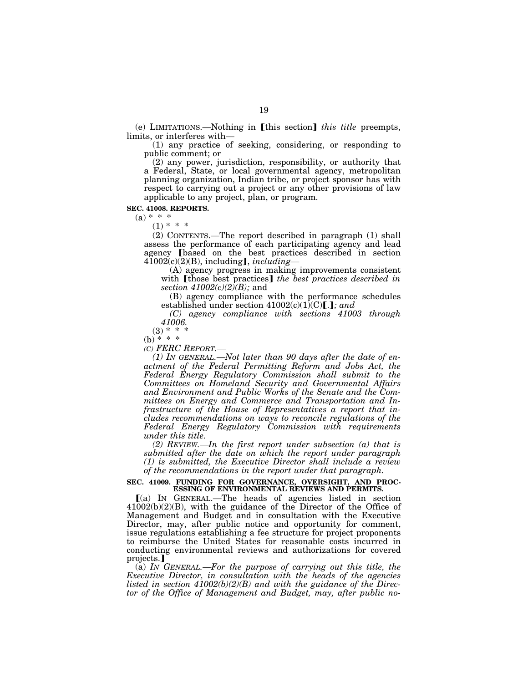(e) LIMITATIONS.—Nothing in [this section] *this title* preempts, limits, or interferes with—

(1) any practice of seeking, considering, or responding to public comment; or

(2) any power, jurisdiction, responsibility, or authority that a Federal, State, or local governmental agency, metropolitan planning organization, Indian tribe, or project sponsor has with respect to carrying out a project or any other provisions of law applicable to any project, plan, or program.

#### **SEC. 41008. REPORTS.**

 $(a) * * *$ 

 $(1) * * *$ 

(2) CONTENTS.—The report described in paragraph (1) shall assess the performance of each participating agency and lead agency **[based** on the best practices described in section  $4\overline{1}00\overline{2}(c)(2)(B)$ , including], *including*—

(A) agency progress in making improvements consistent with [those best practices] *the best practices described in section 41002(c)(2)(B);* and

(B) agency compliance with the performance schedules established under section  $41002(c)(1)(C)$ .

*(C) agency compliance with sections 41003 through 41006.* 

 $(3) * *$ 

 $(b) * * * *$ 

*(C) FERC REPORT.—* 

*(1) IN GENERAL.—Not later than 90 days after the date of enactment of the Federal Permitting Reform and Jobs Act, the Federal Energy Regulatory Commission shall submit to the Committees on Homeland Security and Governmental Affairs and Environment and Public Works of the Senate and the Committees on Energy and Commerce and Transportation and Infrastructure of the House of Representatives a report that includes recommendations on ways to reconcile regulations of the Federal Energy Regulatory Commission with requirements under this title.* 

*(2) REVIEW.—In the first report under subsection (a) that is submitted after the date on which the report under paragraph (1) is submitted, the Executive Director shall include a review of the recommendations in the report under that paragraph.* 

#### **SEC. 41009. FUNDING FOR GOVERNANCE, OVERSIGHT, AND PROC-ESSING OF ENVIRONMENTAL REVIEWS AND PERMITS.**

ø(a) IN GENERAL.—The heads of agencies listed in section  $41002(b)(2)(B)$ , with the guidance of the Director of the Office of Management and Budget and in consultation with the Executive Director, may, after public notice and opportunity for comment, issue regulations establishing a fee structure for project proponents to reimburse the United States for reasonable costs incurred in conducting environmental reviews and authorizations for covered projects.

(a) *IN GENERAL.—For the purpose of carrying out this title, the Executive Director, in consultation with the heads of the agencies listed in section 41002(b)(2)(B) and with the guidance of the Director of the Office of Management and Budget, may, after public no-*